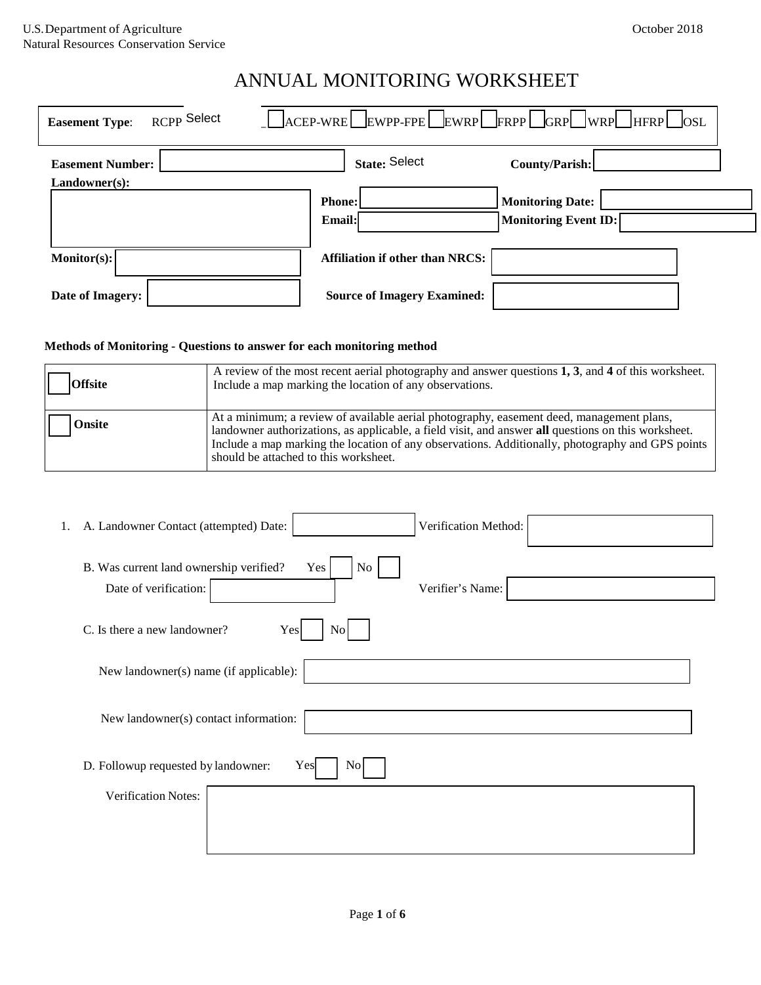| RCPP Select<br><b>Easement Type:</b>     | LACEP-WRELEWPP-FPELEWRPLFRPPLGRPLWRPLHFRPLOSL                                     |
|------------------------------------------|-----------------------------------------------------------------------------------|
| <b>Easement Number:</b><br>Landowner(s): | <b>State: Select</b><br>County/Parish:                                            |
|                                          | <b>Monitoring Date:</b><br><b>Phone:</b><br><b>Monitoring Event ID:</b><br>Email: |
| $\text{Monitor}(s):$                     | <b>Affiliation if other than NRCS:</b>                                            |
| Date of Imagery:                         | <b>Source of Imagery Examined:</b>                                                |

#### **Methods of Monitoring - Questions to answer for each monitoring method**

| <b>Offsite</b> | A review of the most recent aerial photography and answer questions 1, 3, and 4 of this worksheet.<br>Include a map marking the location of any observations.                                                                                                                                                                                |  |
|----------------|----------------------------------------------------------------------------------------------------------------------------------------------------------------------------------------------------------------------------------------------------------------------------------------------------------------------------------------------|--|
| <b>Onsite</b>  | At a minimum; a review of available aerial photography, easement deed, management plans,<br>landowner authorizations, as applicable, a field visit, and answer all questions on this worksheet.<br>Include a map marking the location of any observations. Additionally, photography and GPS points<br>should be attached to this worksheet. |  |

| 1. A. Landowner Contact (attempted) Date:<br>Verification Method:                                   |
|-----------------------------------------------------------------------------------------------------|
| No<br>B. Was current land ownership verified?<br>Yes  <br>Date of verification:<br>Verifier's Name: |
| C. Is there a new landowner?<br>Yes<br>$\rm{No}$                                                    |
| New landowner(s) name (if applicable):                                                              |
| New landowner(s) contact information:                                                               |
| Yes<br>D. Followup requested by landowner:<br>$\overline{N_{O}}$                                    |
| <b>Verification Notes:</b>                                                                          |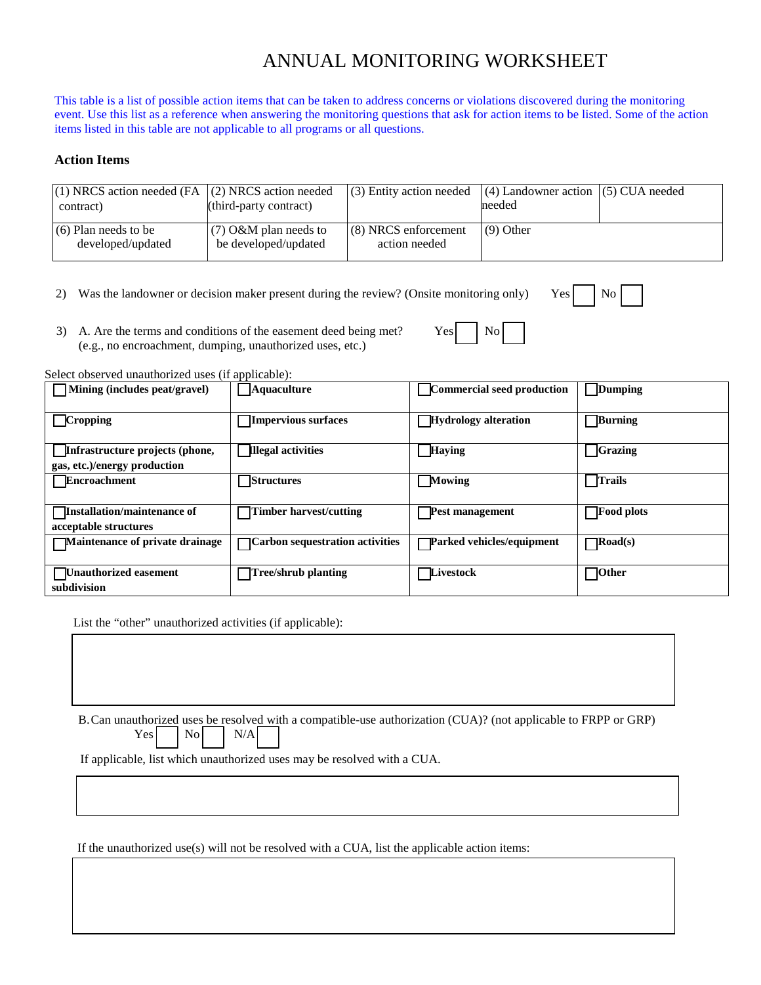This table is a list of possible action items that can be taken to address concerns or violations discovered during the monitoring event. Use this list as a reference when answering the monitoring questions that ask for action items to be listed. Some of the action items listed in this table are not applicable to all programs or all questions.

#### **Action Items**

| $(1)$ NRCS action needed (FA $(2)$ NRCS action needed<br>contract) | (third-party contract)                          | $(3)$ Entity action needed              | $(4)$ Landowner action $(5)$ CUA needed<br>needed |  |
|--------------------------------------------------------------------|-------------------------------------------------|-----------------------------------------|---------------------------------------------------|--|
| $(6)$ Plan needs to be<br>developed/updated                        | $(7)$ O&M plan needs to<br>be developed/updated | $(8)$ NRCS enforcement<br>action needed | $(9)$ Other                                       |  |

- 2) Was the landowner or decision maker present during the review? (Onsite monitoring only) Yes  $\vert$  No
	-
- 3) A. Are the terms and conditions of the easement deed being met?  $Yes$   $\bigcup$  No (e.g., no encroachment, dumping, unauthorized uses, etc.)

Select observed unauthorized uses (if applicable):

| $\Box$ Mining (includes peat/gravel)                            | <b>Aquaculture</b>              | <b>Commercial seed production</b> | <b>Dumping</b>    |
|-----------------------------------------------------------------|---------------------------------|-----------------------------------|-------------------|
| $\Box$ Cropping                                                 | Impervious surfaces             | Hydrology alteration              | Burning           |
| Infrastructure projects (phone,<br>gas, etc.)/energy production | <b>Illegal activities</b>       | <b>Haying</b>                     | <b>Grazing</b>    |
| <b>Encroachment</b>                                             | <b>Structures</b>               | <b>Mowing</b>                     | <b>Trails</b>     |
| Installation/maintenance of<br>acceptable structures            | Timber harvest/cutting          | <b>Pest management</b>            | <b>Food plots</b> |
| Maintenance of private drainage                                 | Carbon sequestration activities | Parked vehicles/equipment         | $\bigcap$ Road(s) |
| Unauthorized easement<br>subdivision                            | Tree/shrub planting             | Livestock                         | ∏Other            |

List the "other" unauthorized activities (if applicable):

B.Can unauthorized uses be resolved with a compatible-use authorization (CUA)? (not applicable to FRPP or GRP)  $Yes$   $|$   $No$   $|$   $N/A$ 

If applicable, list which unauthorized uses may be resolved with a CUA.

If the unauthorized use(s) will not be resolved with a CUA, list the applicable action items: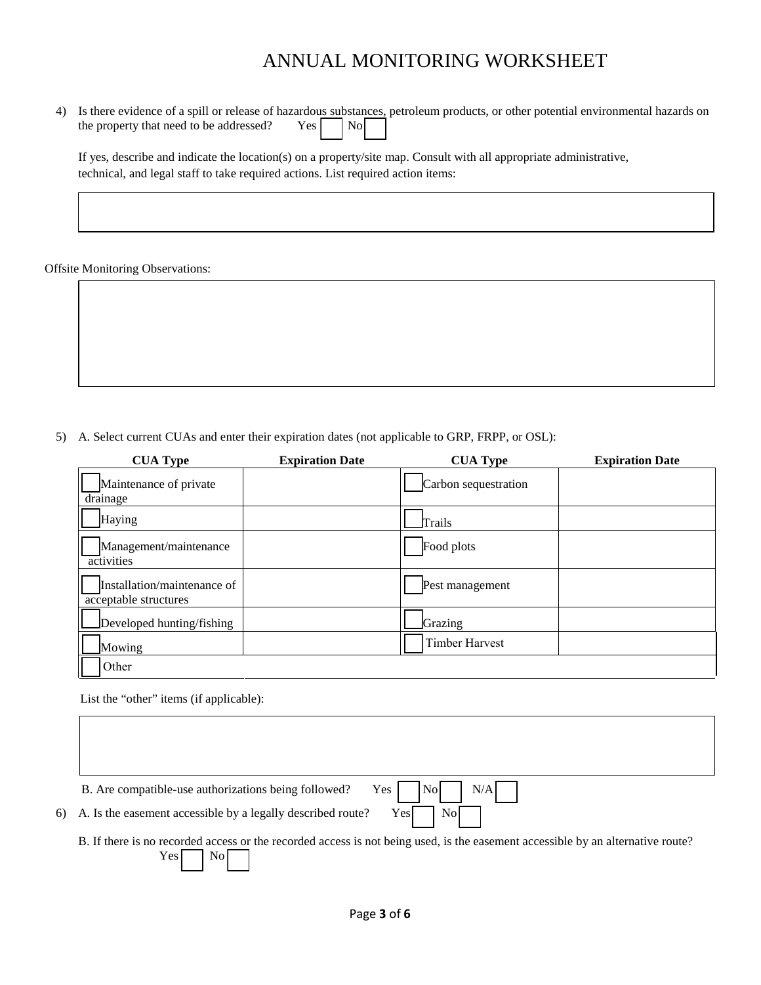4) Is there evidence of a spill or release of hazardous substances, petroleum products, or other potential environmental hazards on the property that need to be addressed?  $Yes \boxed{\phantom{0}}$  No

If yes, describe and indicate the location(s) on a property/site map. Consult with all appropriate administrative, technical, and legal staff to take required actions. List required action items:

Offsite Monitoring Observations:

5) A. Select current CUAs and enter their expiration dates (not applicable to GRP, FRPP, or OSL):

| <b>CUA Type</b>                                      | <b>Expiration Date</b> | <b>CUA Type</b>       | <b>Expiration Date</b> |
|------------------------------------------------------|------------------------|-----------------------|------------------------|
| Maintenance of private                               |                        | Carbon sequestration  |                        |
| drainage                                             |                        |                       |                        |
| Haying                                               |                        | Trails                |                        |
| Management/maintenance<br>activities                 |                        | Food plots            |                        |
| Installation/maintenance of<br>acceptable structures |                        | Pest management       |                        |
| Developed hunting/fishing                            |                        | Grazing               |                        |
| Mowing                                               |                        | <b>Timber Harvest</b> |                        |
| Other                                                |                        |                       |                        |

List the "other" items (if applicable):

| B. Are compatible-use authorizations being followed?<br>Yes 1<br>, Nol<br>N/A                                                                                  |
|----------------------------------------------------------------------------------------------------------------------------------------------------------------|
| Yes<br><b>Nol</b><br>6) A. Is the easement accessible by a legally described route?                                                                            |
| B. If there is no recorded access or the recorded access is not being used, is the easement accessible by an alternative route?<br>$\overline{N_{O}}$<br>Yes l |
|                                                                                                                                                                |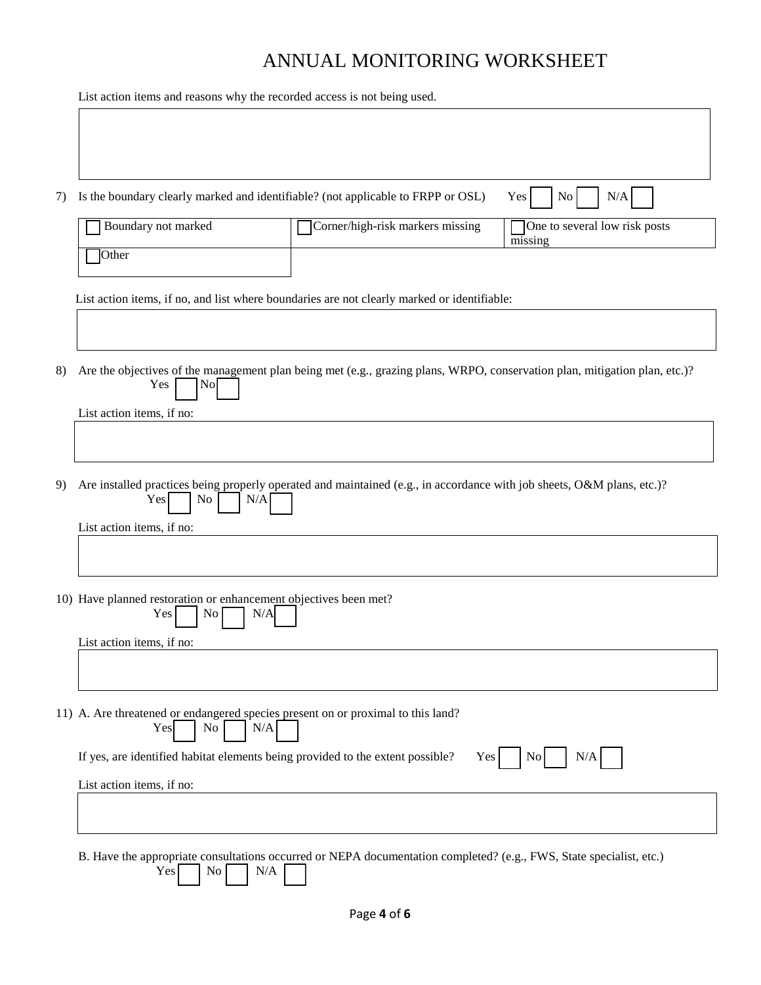List action items and reasons why the recorded access is not being used.

| 7)                                                                                                                                                            | Is the boundary clearly marked and identifiable? (not applicable to FRPP or OSL)<br>No<br>N/A<br>Yes                  |                                                                                                                     |                                          |  |
|---------------------------------------------------------------------------------------------------------------------------------------------------------------|-----------------------------------------------------------------------------------------------------------------------|---------------------------------------------------------------------------------------------------------------------|------------------------------------------|--|
|                                                                                                                                                               | Boundary not marked                                                                                                   | Corner/high-risk markers missing                                                                                    | One to several low risk posts<br>missing |  |
|                                                                                                                                                               | Other                                                                                                                 |                                                                                                                     |                                          |  |
|                                                                                                                                                               |                                                                                                                       | List action items, if no, and list where boundaries are not clearly marked or identifiable:                         |                                          |  |
|                                                                                                                                                               |                                                                                                                       |                                                                                                                     |                                          |  |
| 8)<br>Are the objectives of the management plan being met (e.g., grazing plans, WRPO, conservation plan, mitigation plan, etc.)?<br>Yes<br>$\vert$ No $\vert$ |                                                                                                                       |                                                                                                                     |                                          |  |
|                                                                                                                                                               | List action items, if no:                                                                                             |                                                                                                                     |                                          |  |
| Are installed practices being properly operated and maintained (e.g., in accordance with job sheets, O&M plans, etc.)?<br>9)<br>Yes<br>No<br>N/A              |                                                                                                                       |                                                                                                                     |                                          |  |
|                                                                                                                                                               | List action items, if no:                                                                                             |                                                                                                                     |                                          |  |
| 10) Have planned restoration or enhancement objectives been met?<br>Yes<br>N/A<br>$\rm{No}$                                                                   |                                                                                                                       |                                                                                                                     |                                          |  |
|                                                                                                                                                               | List action items, if no:                                                                                             |                                                                                                                     |                                          |  |
|                                                                                                                                                               |                                                                                                                       |                                                                                                                     |                                          |  |
|                                                                                                                                                               | 11) A. Are threatened or endangered species present on or proximal to this land?<br>N/A<br>Yes<br>No                  |                                                                                                                     |                                          |  |
|                                                                                                                                                               | If yes, are identified habitat elements being provided to the extent possible?<br>N/A<br><b>Yes</b><br>N <sub>0</sub> |                                                                                                                     |                                          |  |
|                                                                                                                                                               | List action items, if no:                                                                                             |                                                                                                                     |                                          |  |
|                                                                                                                                                               |                                                                                                                       |                                                                                                                     |                                          |  |
|                                                                                                                                                               | Yes<br>No<br>N/A                                                                                                      | B. Have the appropriate consultations occurred or NEPA documentation completed? (e.g., FWS, State specialist, etc.) |                                          |  |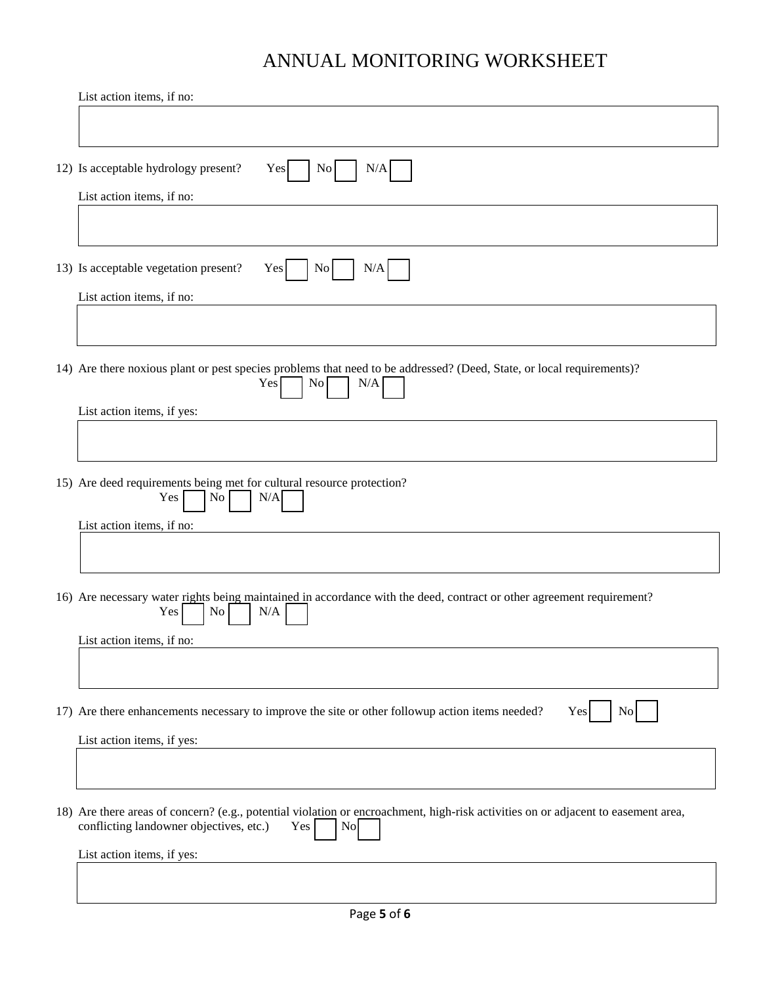| List action items, if no:                                                                                                                                                                             |  |  |  |
|-------------------------------------------------------------------------------------------------------------------------------------------------------------------------------------------------------|--|--|--|
|                                                                                                                                                                                                       |  |  |  |
| 12) Is acceptable hydrology present?<br>Yes<br>N <sub>0</sub><br>N/A                                                                                                                                  |  |  |  |
| List action items, if no:                                                                                                                                                                             |  |  |  |
| 13) Is acceptable vegetation present?<br>Yes<br>No<br>N/A                                                                                                                                             |  |  |  |
| List action items, if no:                                                                                                                                                                             |  |  |  |
|                                                                                                                                                                                                       |  |  |  |
| 14) Are there noxious plant or pest species problems that need to be addressed? (Deed, State, or local requirements)?<br>Yes<br>$\overline{N_{0}}$<br>N/A                                             |  |  |  |
| List action items, if yes:                                                                                                                                                                            |  |  |  |
|                                                                                                                                                                                                       |  |  |  |
| 15) Are deed requirements being met for cultural resource protection?<br>N/A<br>Yes<br>No.                                                                                                            |  |  |  |
| List action items, if no:                                                                                                                                                                             |  |  |  |
|                                                                                                                                                                                                       |  |  |  |
| 16) Are necessary water rights being maintained in accordance with the deed, contract or other agreement requirement?<br>Yes<br>$\overline{N_{O}}$<br>N/A                                             |  |  |  |
| List action items, if no:                                                                                                                                                                             |  |  |  |
|                                                                                                                                                                                                       |  |  |  |
| 17) Are there enhancements necessary to improve the site or other followup action items needed?<br>Yes<br><b>No</b><br>List action items, if yes:                                                     |  |  |  |
|                                                                                                                                                                                                       |  |  |  |
| 18) Are there areas of concern? (e.g., potential violation or encroachment, high-risk activities on or adjacent to easement area,<br>conflicting landowner objectives, etc.)<br>Yes<br>N <sub>o</sub> |  |  |  |
| List action items, if yes:                                                                                                                                                                            |  |  |  |
|                                                                                                                                                                                                       |  |  |  |